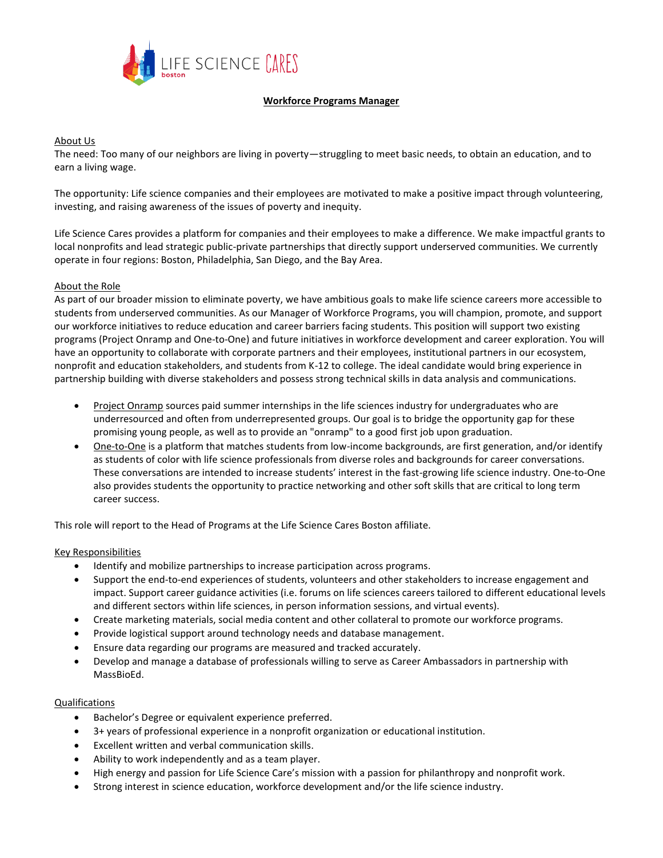

# **Workforce Programs Manager**

#### About Us

The need: Too many of our neighbors are living in poverty—struggling to meet basic needs, to obtain an education, and to earn a living wage.

The opportunity: Life science companies and their employees are motivated to make a positive impact through volunteering, investing, and raising awareness of the issues of poverty and inequity.

Life Science Cares provides a platform for companies and their employees to make a difference. We make impactful grants to local nonprofits and lead strategic public-private partnerships that directly support underserved communities. We currently operate in four regions: Boston, Philadelphia, San Diego, and the Bay Area.

## About the Role

As part of our broader mission to eliminate poverty, we have ambitious goals to make life science careers more accessible to students from underserved communities. As our Manager of Workforce Programs, you will champion, promote, and support our workforce initiatives to reduce education and career barriers facing students. This position will support two existing programs (Project Onramp and One-to-One) and future initiatives in workforce development and career exploration. You will have an opportunity to collaborate with corporate partners and their employees, institutional partners in our ecosystem, nonprofit and education stakeholders, and students from K-12 to college. The ideal candidate would bring experience in partnership building with diverse stakeholders and possess strong technical skills in data analysis and communications.

- Project Onramp sources paid summer internships in the life sciences industry for undergraduates who are underresourced and often from underrepresented groups. Our goal is to bridge the opportunity gap for these promising young people, as well as to provide an "onramp" to a good first job upon graduation.
- One-to-One is a platform that matches students from low-income backgrounds, are first generation, and/or identify as students of color with life science professionals from diverse roles and backgrounds for career conversations. These conversations are intended to increase students' interest in the fast-growing life science industry. One-to-One also provides students the opportunity to practice networking and other soft skills that are critical to long term career success[.](http://www.lifesciencecares.org/onetoone)

This role will report to the Head of Programs at the Life Science Cares Boston affiliate.

#### Key Responsibilities

- Identify and mobilize partnerships to increase participation across programs.
- Support the end-to-end experiences of students, volunteers and other stakeholders to increase engagement and impact. Support career guidance activities (i.e. forums on life sciences careers tailored to different educational levels and different sectors within life sciences, in person information sessions, and virtual events).
- Create marketing materials, social media content and other collateral to promote our workforce programs.
- Provide logistical support around technology needs and database management.
- Ensure data regarding our programs are measured and tracked accurately.
- Develop and manage a database of professionals willing to serve as Career Ambassadors in partnership with MassBioEd.

## Qualifications

- Bachelor's Degree or equivalent experience preferred.
- 3+ years of professional experience in a nonprofit organization or educational institution.
- Excellent written and verbal communication skills.
- Ability to work independently and as a team player.
- High energy and passion for Life Science Care's mission with a passion for philanthropy and nonprofit work.
- Strong interest in science education, workforce development and/or the life science industry.